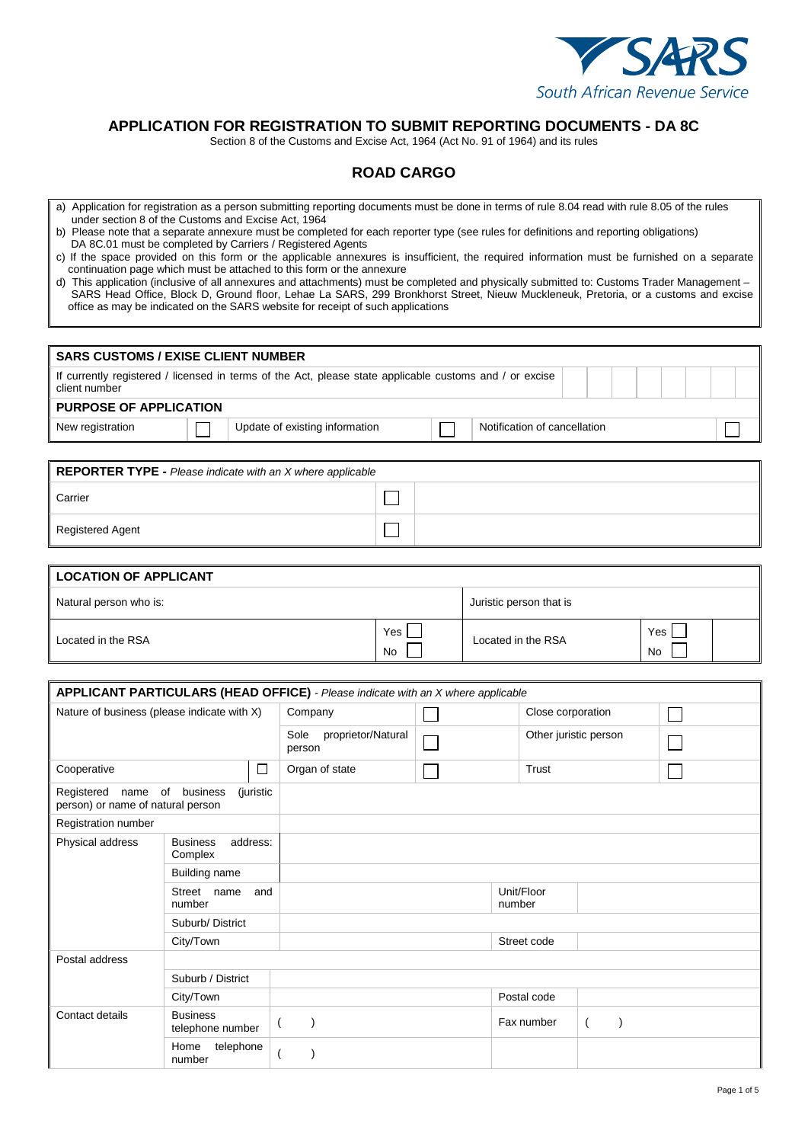

## **APPLICATION FOR REGISTRATION TO SUBMIT REPORTING DOCUMENTS - DA 8C**

**ROAD CARGO** 

Section 8 of the Customs and Excise Act, 1964 (Act No. 91 of 1964) and its rules

| a) Application for registration as a person submitting reporting documents must be done in terms of rule 8.04 read with rule 8.05 of the rules<br>under section 8 of the Customs and Excise Act, 1964<br>b) Please note that a separate annexure must be completed for each reporter type (see rules for definitions and reporting obligations)<br>DA 8C.01 must be completed by Carriers / Registered Agents<br>c) If the space provided on this form or the applicable annexures is insufficient, the required information must be furnished on a separate<br>continuation page which must be attached to this form or the annexure<br>d) This application (inclusive of all annexures and attachments) must be completed and physically submitted to: Customs Trader Management -<br>office as may be indicated on the SARS website for receipt of such applications |                                        |           | SARS Head Office, Block D, Ground floor, Lehae La SARS, 299 Bronkhorst Street, Nieuw Muckleneuk, Pretoria, or a customs and excise |           |  |                       |                              |                       |  |  |
|-------------------------------------------------------------------------------------------------------------------------------------------------------------------------------------------------------------------------------------------------------------------------------------------------------------------------------------------------------------------------------------------------------------------------------------------------------------------------------------------------------------------------------------------------------------------------------------------------------------------------------------------------------------------------------------------------------------------------------------------------------------------------------------------------------------------------------------------------------------------------|----------------------------------------|-----------|------------------------------------------------------------------------------------------------------------------------------------|-----------|--|-----------------------|------------------------------|-----------------------|--|--|
| <b>SARS CUSTOMS / EXISE CLIENT NUMBER</b>                                                                                                                                                                                                                                                                                                                                                                                                                                                                                                                                                                                                                                                                                                                                                                                                                               |                                        |           |                                                                                                                                    |           |  |                       |                              |                       |  |  |
| If currently registered / licensed in terms of the Act, please state applicable customs and / or excise<br>client number                                                                                                                                                                                                                                                                                                                                                                                                                                                                                                                                                                                                                                                                                                                                                |                                        |           |                                                                                                                                    |           |  |                       |                              |                       |  |  |
| <b>PURPOSE OF APPLICATION</b>                                                                                                                                                                                                                                                                                                                                                                                                                                                                                                                                                                                                                                                                                                                                                                                                                                           |                                        |           |                                                                                                                                    |           |  |                       |                              |                       |  |  |
| New registration                                                                                                                                                                                                                                                                                                                                                                                                                                                                                                                                                                                                                                                                                                                                                                                                                                                        |                                        |           | Update of existing information                                                                                                     |           |  |                       | Notification of cancellation |                       |  |  |
| <b>REPORTER TYPE - Please indicate with an X where applicable</b>                                                                                                                                                                                                                                                                                                                                                                                                                                                                                                                                                                                                                                                                                                                                                                                                       |                                        |           |                                                                                                                                    |           |  |                       |                              |                       |  |  |
| Carrier                                                                                                                                                                                                                                                                                                                                                                                                                                                                                                                                                                                                                                                                                                                                                                                                                                                                 |                                        |           |                                                                                                                                    |           |  |                       |                              |                       |  |  |
| <b>Registered Agent</b>                                                                                                                                                                                                                                                                                                                                                                                                                                                                                                                                                                                                                                                                                                                                                                                                                                                 |                                        |           |                                                                                                                                    |           |  |                       |                              |                       |  |  |
|                                                                                                                                                                                                                                                                                                                                                                                                                                                                                                                                                                                                                                                                                                                                                                                                                                                                         |                                        |           |                                                                                                                                    |           |  |                       |                              |                       |  |  |
| <b>LOCATION OF APPLICANT</b>                                                                                                                                                                                                                                                                                                                                                                                                                                                                                                                                                                                                                                                                                                                                                                                                                                            |                                        |           |                                                                                                                                    |           |  |                       |                              |                       |  |  |
| Natural person who is:                                                                                                                                                                                                                                                                                                                                                                                                                                                                                                                                                                                                                                                                                                                                                                                                                                                  |                                        |           |                                                                                                                                    |           |  |                       | Juristic person that is      |                       |  |  |
| Located in the RSA                                                                                                                                                                                                                                                                                                                                                                                                                                                                                                                                                                                                                                                                                                                                                                                                                                                      |                                        |           |                                                                                                                                    | Yes<br>No |  |                       | Located in the RSA           | Yes<br>No             |  |  |
| <b>APPLICANT PARTICULARS (HEAD OFFICE)</b> - Please indicate with an X where applicable                                                                                                                                                                                                                                                                                                                                                                                                                                                                                                                                                                                                                                                                                                                                                                                 |                                        |           |                                                                                                                                    |           |  |                       |                              |                       |  |  |
| Nature of business (please indicate with X)                                                                                                                                                                                                                                                                                                                                                                                                                                                                                                                                                                                                                                                                                                                                                                                                                             |                                        |           | Company                                                                                                                            |           |  |                       | Close corporation            |                       |  |  |
|                                                                                                                                                                                                                                                                                                                                                                                                                                                                                                                                                                                                                                                                                                                                                                                                                                                                         |                                        |           | Sole<br>proprietor/Natural<br>person                                                                                               |           |  | Other juristic person |                              |                       |  |  |
| Cooperative                                                                                                                                                                                                                                                                                                                                                                                                                                                                                                                                                                                                                                                                                                                                                                                                                                                             |                                        | $\Box$    | Organ of state                                                                                                                     |           |  |                       | Trust                        |                       |  |  |
| Registered name of business<br>person) or name of natural person                                                                                                                                                                                                                                                                                                                                                                                                                                                                                                                                                                                                                                                                                                                                                                                                        |                                        | (juristic |                                                                                                                                    |           |  |                       |                              |                       |  |  |
| Registration number                                                                                                                                                                                                                                                                                                                                                                                                                                                                                                                                                                                                                                                                                                                                                                                                                                                     |                                        |           |                                                                                                                                    |           |  |                       |                              |                       |  |  |
| Physical address                                                                                                                                                                                                                                                                                                                                                                                                                                                                                                                                                                                                                                                                                                                                                                                                                                                        | <b>Business</b><br>address:<br>Complex |           |                                                                                                                                    |           |  |                       |                              |                       |  |  |
|                                                                                                                                                                                                                                                                                                                                                                                                                                                                                                                                                                                                                                                                                                                                                                                                                                                                         | Building name                          |           |                                                                                                                                    |           |  |                       |                              |                       |  |  |
| Street name<br>and<br>number                                                                                                                                                                                                                                                                                                                                                                                                                                                                                                                                                                                                                                                                                                                                                                                                                                            |                                        |           |                                                                                                                                    |           |  |                       | Unit/Floor<br>number         |                       |  |  |
|                                                                                                                                                                                                                                                                                                                                                                                                                                                                                                                                                                                                                                                                                                                                                                                                                                                                         | Suburb/District                        |           |                                                                                                                                    |           |  |                       |                              |                       |  |  |
|                                                                                                                                                                                                                                                                                                                                                                                                                                                                                                                                                                                                                                                                                                                                                                                                                                                                         | City/Town                              |           |                                                                                                                                    |           |  |                       | Street code                  |                       |  |  |
| Postal address                                                                                                                                                                                                                                                                                                                                                                                                                                                                                                                                                                                                                                                                                                                                                                                                                                                          |                                        |           |                                                                                                                                    |           |  |                       |                              |                       |  |  |
|                                                                                                                                                                                                                                                                                                                                                                                                                                                                                                                                                                                                                                                                                                                                                                                                                                                                         | Suburb / District                      |           |                                                                                                                                    |           |  |                       |                              |                       |  |  |
|                                                                                                                                                                                                                                                                                                                                                                                                                                                                                                                                                                                                                                                                                                                                                                                                                                                                         | City/Town                              |           |                                                                                                                                    |           |  |                       | Postal code                  |                       |  |  |
| Contact details                                                                                                                                                                                                                                                                                                                                                                                                                                                                                                                                                                                                                                                                                                                                                                                                                                                         | <b>Business</b><br>telephone number    |           | $\lambda$<br>$\overline{ }$                                                                                                        |           |  |                       | Fax number                   | $\left($<br>$\lambda$ |  |  |
|                                                                                                                                                                                                                                                                                                                                                                                                                                                                                                                                                                                                                                                                                                                                                                                                                                                                         | Home telephone<br>number               |           | $\overline{(\ }$<br>$\lambda$                                                                                                      |           |  |                       |                              |                       |  |  |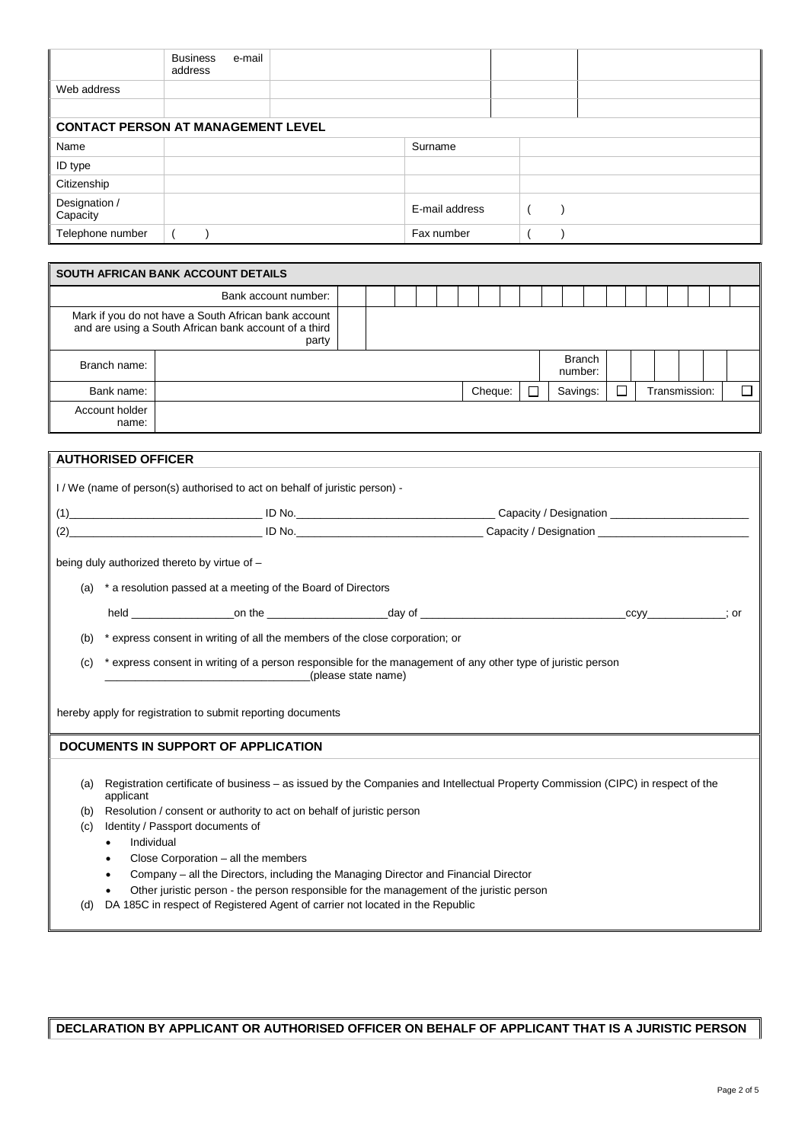|                                           | e-mail<br><b>Business</b><br>address |                |  |  |
|-------------------------------------------|--------------------------------------|----------------|--|--|
| Web address                               |                                      |                |  |  |
|                                           |                                      |                |  |  |
| <b>CONTACT PERSON AT MANAGEMENT LEVEL</b> |                                      |                |  |  |
| Name                                      |                                      | Surname        |  |  |
| ID type                                   |                                      |                |  |  |
| Citizenship                               |                                      |                |  |  |
| Designation /<br>Capacity                 |                                      | E-mail address |  |  |
| Telephone number                          |                                      | Fax number     |  |  |

| SOUTH AFRICAN BANK ACCOUNT DETAILS                                                                                     |  |  |  |  |  |  |  |         |  |                          |  |  |               |  |
|------------------------------------------------------------------------------------------------------------------------|--|--|--|--|--|--|--|---------|--|--------------------------|--|--|---------------|--|
| Bank account number:                                                                                                   |  |  |  |  |  |  |  |         |  |                          |  |  |               |  |
| Mark if you do not have a South African bank account<br>and are using a South African bank account of a third<br>party |  |  |  |  |  |  |  |         |  |                          |  |  |               |  |
| Branch name:                                                                                                           |  |  |  |  |  |  |  |         |  | <b>Branch</b><br>number: |  |  |               |  |
| Bank name:                                                                                                             |  |  |  |  |  |  |  | Cheque: |  | Savings:                 |  |  | Transmission: |  |
| Account holder<br>name:                                                                                                |  |  |  |  |  |  |  |         |  |                          |  |  |               |  |

|     | <b>AUTHORISED OFFICER</b>                                                                                                                                                 |                     |  |             |  |  |  |  |
|-----|---------------------------------------------------------------------------------------------------------------------------------------------------------------------------|---------------------|--|-------------|--|--|--|--|
|     | I/We (name of person(s) authorised to act on behalf of juristic person) -                                                                                                 |                     |  |             |  |  |  |  |
| (1) |                                                                                                                                                                           |                     |  |             |  |  |  |  |
|     |                                                                                                                                                                           |                     |  |             |  |  |  |  |
|     | being duly authorized thereto by virtue of -                                                                                                                              |                     |  |             |  |  |  |  |
| (a) | * a resolution passed at a meeting of the Board of Directors                                                                                                              |                     |  |             |  |  |  |  |
|     |                                                                                                                                                                           |                     |  | $ccyy$ ; or |  |  |  |  |
| (b) | * express consent in writing of all the members of the close corporation; or                                                                                              |                     |  |             |  |  |  |  |
| (c) | * express consent in writing of a person responsible for the management of any other type of juristic person                                                              |                     |  |             |  |  |  |  |
|     |                                                                                                                                                                           | (please state name) |  |             |  |  |  |  |
|     | hereby apply for registration to submit reporting documents                                                                                                               |                     |  |             |  |  |  |  |
|     |                                                                                                                                                                           |                     |  |             |  |  |  |  |
|     | DOCUMENTS IN SUPPORT OF APPLICATION                                                                                                                                       |                     |  |             |  |  |  |  |
|     |                                                                                                                                                                           |                     |  |             |  |  |  |  |
| (a) | Registration certificate of business – as issued by the Companies and Intellectual Property Commission (CIPC) in respect of the<br>applicant                              |                     |  |             |  |  |  |  |
| (b) | Resolution / consent or authority to act on behalf of juristic person                                                                                                     |                     |  |             |  |  |  |  |
| (c) | Identity / Passport documents of                                                                                                                                          |                     |  |             |  |  |  |  |
|     | Individual<br>٠                                                                                                                                                           |                     |  |             |  |  |  |  |
|     | Close Corporation - all the members<br>٠                                                                                                                                  |                     |  |             |  |  |  |  |
|     | Company - all the Directors, including the Managing Director and Financial Director<br>$\bullet$                                                                          |                     |  |             |  |  |  |  |
| (d) | Other juristic person - the person responsible for the management of the juristic person<br>DA 185C in respect of Registered Agent of carrier not located in the Republic |                     |  |             |  |  |  |  |
|     |                                                                                                                                                                           |                     |  |             |  |  |  |  |

**DECLARATION BY APPLICANT OR AUTHORISED OFFICER ON BEHALF OF APPLICANT THAT IS A JURISTIC PERSON**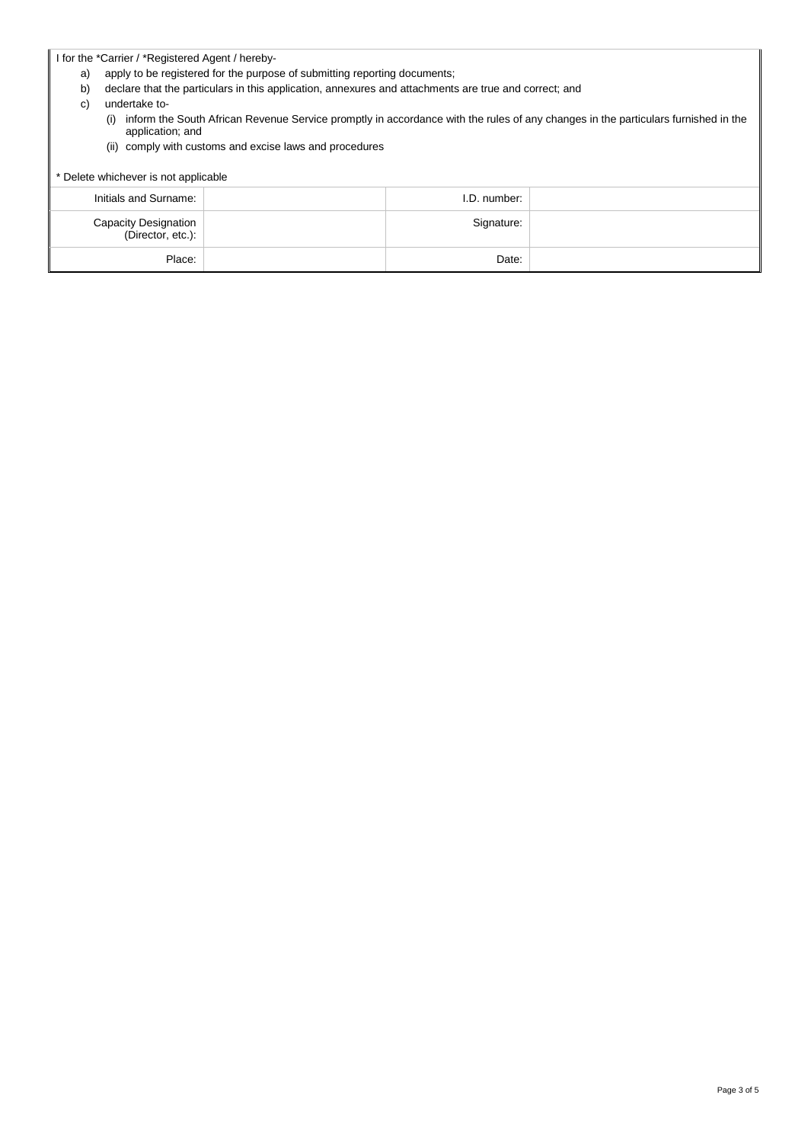I for the \*Carrier / \*Registered Agent / hereby-

- a) apply to be registered for the purpose of submitting reporting documents;
- b) declare that the particulars in this application, annexures and attachments are true and correct; and
- c) undertake to-
	- (i) inform the South African Revenue Service promptly in accordance with the rules of any changes in the particulars furnished in the application; and
	- (ii) comply with customs and excise laws and procedures

## \* Delete whichever is not applicable Initials and Surname: I.D. number: Capacity Designation (Director, etc.): Signature: Place: Date: Date: Date: Place: Date: Place: Place: Date: Date: Date: Place: Date: Date: Place: Place: Place: Place: Place: Place: Place: Place: Place: Place: Place: Place: Place: Place: Place: Place: Place: Place: Place: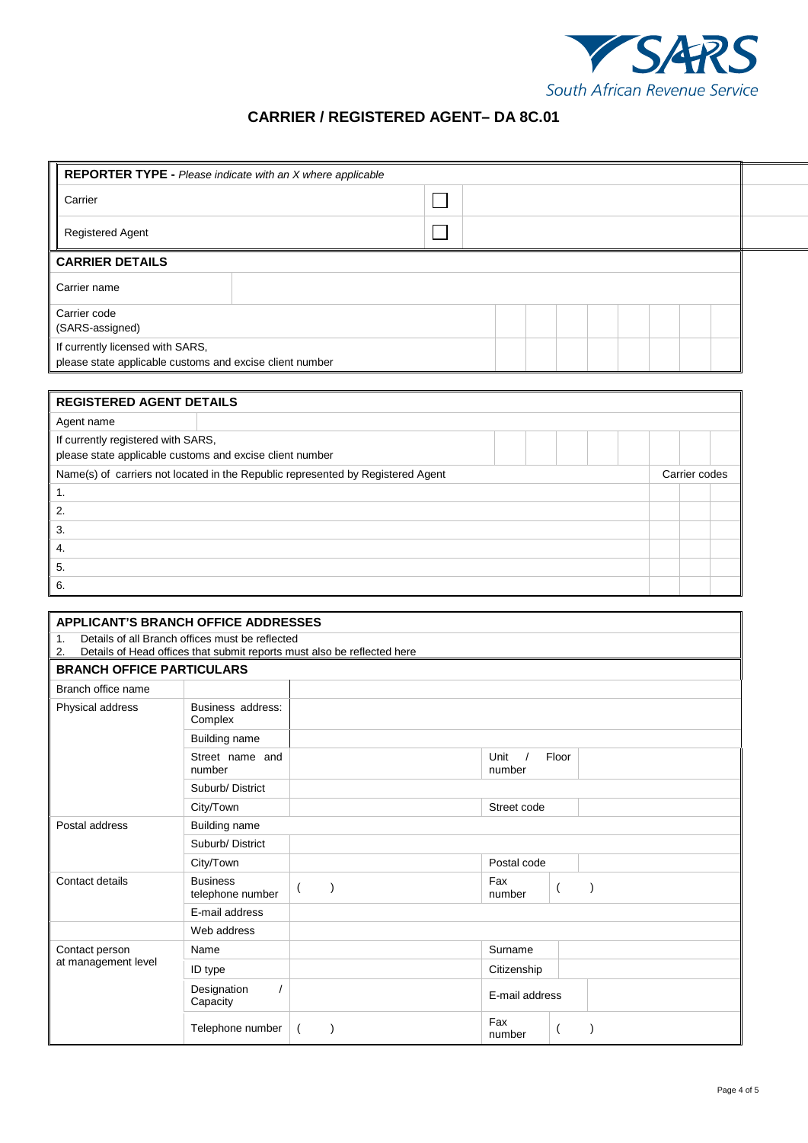

## **CARRIER / REGISTERED AGENT– DA 8C.01**

|                                                                                              | <b>REPORTER TYPE - Please indicate with an X where applicable</b> |  |  |  |  |  |  |  |  |  |
|----------------------------------------------------------------------------------------------|-------------------------------------------------------------------|--|--|--|--|--|--|--|--|--|
|                                                                                              | Carrier                                                           |  |  |  |  |  |  |  |  |  |
|                                                                                              | <b>Registered Agent</b>                                           |  |  |  |  |  |  |  |  |  |
| <b>CARRIER DETAILS</b>                                                                       |                                                                   |  |  |  |  |  |  |  |  |  |
| Carrier name                                                                                 |                                                                   |  |  |  |  |  |  |  |  |  |
|                                                                                              | Carrier code<br>(SARS-assigned)                                   |  |  |  |  |  |  |  |  |  |
| If currently licensed with SARS,<br>please state applicable customs and excise client number |                                                                   |  |  |  |  |  |  |  |  |  |

| <b>REGISTERED AGENT DETAILS</b>                                                                |  |  |  |  |  |               |  |  |
|------------------------------------------------------------------------------------------------|--|--|--|--|--|---------------|--|--|
| Agent name                                                                                     |  |  |  |  |  |               |  |  |
| If currently registered with SARS,<br>please state applicable customs and excise client number |  |  |  |  |  |               |  |  |
| Name(s) of carriers not located in the Republic represented by Registered Agent                |  |  |  |  |  | Carrier codes |  |  |
| 1.                                                                                             |  |  |  |  |  |               |  |  |
| 2.                                                                                             |  |  |  |  |  |               |  |  |
| 3.                                                                                             |  |  |  |  |  |               |  |  |
| 4.                                                                                             |  |  |  |  |  |               |  |  |
| 5.                                                                                             |  |  |  |  |  |               |  |  |
| 6.                                                                                             |  |  |  |  |  |               |  |  |

| <b>APPLICANT'S BRANCH OFFICE ADDRESSES</b> |                                                                                                                            |          |                         |  |  |  |  |  |  |
|--------------------------------------------|----------------------------------------------------------------------------------------------------------------------------|----------|-------------------------|--|--|--|--|--|--|
| 1.<br>2.                                   | Details of all Branch offices must be reflected<br>Details of Head offices that submit reports must also be reflected here |          |                         |  |  |  |  |  |  |
|                                            | <b>BRANCH OFFICE PARTICULARS</b>                                                                                           |          |                         |  |  |  |  |  |  |
| Branch office name                         |                                                                                                                            |          |                         |  |  |  |  |  |  |
| Physical address                           | Business address:<br>Complex                                                                                               |          |                         |  |  |  |  |  |  |
|                                            | <b>Building name</b>                                                                                                       |          |                         |  |  |  |  |  |  |
|                                            | Street name and<br>number                                                                                                  |          | Unit<br>Floor<br>number |  |  |  |  |  |  |
|                                            | Suburb/District                                                                                                            |          |                         |  |  |  |  |  |  |
|                                            | City/Town                                                                                                                  |          | Street code             |  |  |  |  |  |  |
| Postal address                             | Building name                                                                                                              |          |                         |  |  |  |  |  |  |
|                                            | Suburb/District                                                                                                            |          |                         |  |  |  |  |  |  |
|                                            | City/Town                                                                                                                  |          | Postal code             |  |  |  |  |  |  |
| Contact details                            | <b>Business</b><br>telephone number                                                                                        | $\left($ | Fax<br>number           |  |  |  |  |  |  |
|                                            | E-mail address                                                                                                             |          |                         |  |  |  |  |  |  |
|                                            | Web address                                                                                                                |          |                         |  |  |  |  |  |  |
| Contact person                             | Name                                                                                                                       |          | Surname                 |  |  |  |  |  |  |
| at management level                        | ID type                                                                                                                    |          | Citizenship             |  |  |  |  |  |  |
|                                            | Designation<br>Capacity                                                                                                    |          | E-mail address          |  |  |  |  |  |  |
|                                            | Telephone number                                                                                                           |          | Fax<br>number           |  |  |  |  |  |  |